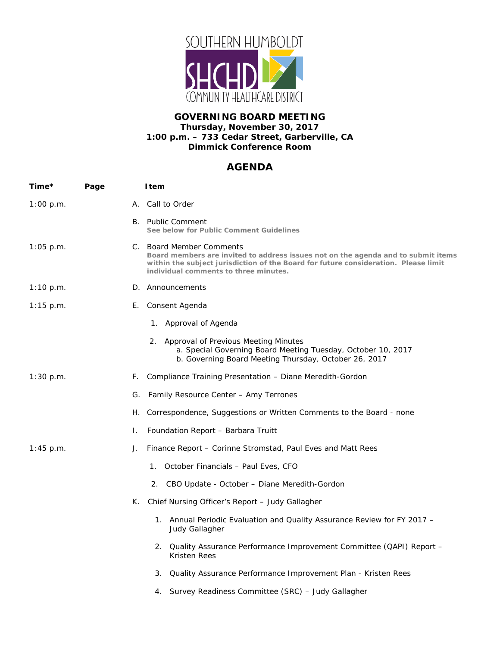

## **GOVERNING BOARD MEETING Thursday, November 30, 2017 1:00 p.m. – 733 Cedar Street, Garberville, CA Dimmick Conference Room**

## **AGENDA**

| Time*       | Page |     | <b>I</b> tem                                                                                                                                                                                                                                  |
|-------------|------|-----|-----------------------------------------------------------------------------------------------------------------------------------------------------------------------------------------------------------------------------------------------|
| 1:00 p.m.   |      |     | A. Call to Order                                                                                                                                                                                                                              |
|             |      |     | B. Public Comment<br>See below for Public Comment Guidelines                                                                                                                                                                                  |
| $1:05$ p.m. |      |     | C. Board Member Comments<br>Board members are invited to address issues not on the agenda and to submit items<br>within the subject jurisdiction of the Board for future consideration. Please limit<br>individual comments to three minutes. |
| 1:10 p.m.   |      |     | D. Announcements                                                                                                                                                                                                                              |
| $1:15$ p.m. |      | E., | Consent Agenda                                                                                                                                                                                                                                |
|             |      |     | 1. Approval of Agenda                                                                                                                                                                                                                         |
|             |      |     | 2. Approval of Previous Meeting Minutes<br>a. Special Governing Board Meeting Tuesday, October 10, 2017<br>b. Governing Board Meeting Thursday, October 26, 2017                                                                              |
| $1:30$ p.m. |      | F.  | Compliance Training Presentation - Diane Meredith-Gordon                                                                                                                                                                                      |
|             |      | G.  | Family Resource Center - Amy Terrones                                                                                                                                                                                                         |
|             |      | Η.  | Correspondence, Suggestions or Written Comments to the Board - none                                                                                                                                                                           |
|             |      | Ι.  | Foundation Report - Barbara Truitt                                                                                                                                                                                                            |
| $1:45$ p.m. |      | J.  | Finance Report – Corinne Stromstad, Paul Eves and Matt Rees                                                                                                                                                                                   |
|             |      |     | 1. October Financials – Paul Eves, CFO                                                                                                                                                                                                        |
|             |      |     | 2.<br>CBO Update - October - Diane Meredith-Gordon                                                                                                                                                                                            |
|             |      |     | K. Chief Nursing Officer's Report – Judy Gallagher                                                                                                                                                                                            |
|             |      |     | 1. Annual Periodic Evaluation and Quality Assurance Review for FY 2017 -<br>Judy Gallagher                                                                                                                                                    |
|             |      |     | 2. Quality Assurance Performance Improvement Committee (QAPI) Report -<br><b>Kristen Rees</b>                                                                                                                                                 |
|             |      |     | Quality Assurance Performance Improvement Plan - Kristen Rees<br>З.                                                                                                                                                                           |
|             |      |     | Survey Readiness Committee (SRC) - Judy Gallagher<br>4.                                                                                                                                                                                       |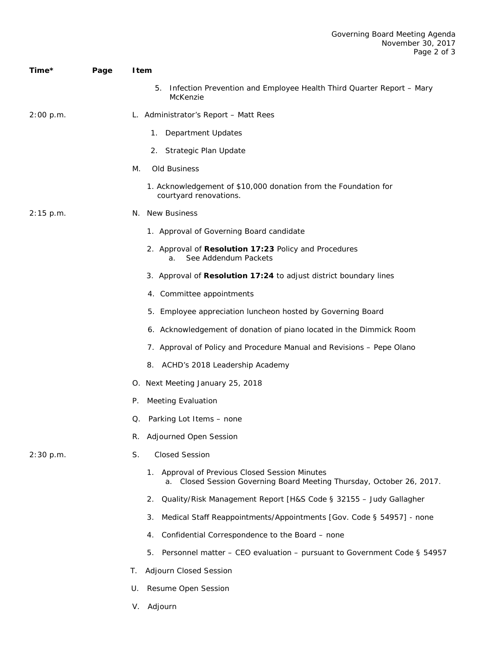| Time*       | Page | <b>I</b> tem                                                                                                            |  |  |
|-------------|------|-------------------------------------------------------------------------------------------------------------------------|--|--|
|             |      | 5.<br>Infection Prevention and Employee Health Third Quarter Report - Mary<br>McKenzie                                  |  |  |
| 2:00 p.m.   |      | L. Administrator's Report – Matt Rees                                                                                   |  |  |
|             |      | Department Updates<br>1.                                                                                                |  |  |
|             |      | Strategic Plan Update<br>2.                                                                                             |  |  |
|             | М.   | Old Business                                                                                                            |  |  |
|             |      | 1. Acknowledgement of \$10,000 donation from the Foundation for<br>courtyard renovations.                               |  |  |
| $2:15$ p.m. |      | N. New Business                                                                                                         |  |  |
|             |      | 1. Approval of Governing Board candidate                                                                                |  |  |
|             |      | 2. Approval of Resolution 17:23 Policy and Procedures<br>See Addendum Packets<br>a.                                     |  |  |
|             |      | 3. Approval of Resolution 17:24 to adjust district boundary lines                                                       |  |  |
|             |      | 4. Committee appointments                                                                                               |  |  |
|             |      | 5. Employee appreciation luncheon hosted by Governing Board                                                             |  |  |
|             |      | 6. Acknowledgement of donation of piano located in the Dimmick Room                                                     |  |  |
|             |      | 7. Approval of Policy and Procedure Manual and Revisions - Pepe Olano                                                   |  |  |
|             |      | 8. ACHD's 2018 Leadership Academy                                                                                       |  |  |
|             |      | O. Next Meeting January 25, 2018                                                                                        |  |  |
|             | P.   | <b>Meeting Evaluation</b>                                                                                               |  |  |
|             | Q.   | Parking Lot Items - none                                                                                                |  |  |
|             | R.   | <b>Adjourned Open Session</b>                                                                                           |  |  |
| 2:30 p.m.   | S.   | <b>Closed Session</b>                                                                                                   |  |  |
|             |      | 1. Approval of Previous Closed Session Minutes<br>a. Closed Session Governing Board Meeting Thursday, October 26, 2017. |  |  |
|             |      | Quality/Risk Management Report [H&S Code § 32155 - Judy Gallagher<br>2.                                                 |  |  |
|             |      | Medical Staff Reappointments/Appointments [Gov. Code § 54957] - none<br>З.                                              |  |  |
|             |      | Confidential Correspondence to the Board - none<br>4.                                                                   |  |  |
|             |      | 5.<br>Personnel matter - CEO evaluation - pursuant to Government Code § 54957                                           |  |  |
|             | Т.   | Adjourn Closed Session                                                                                                  |  |  |
|             | U.   | Resume Open Session                                                                                                     |  |  |

V. Adjourn